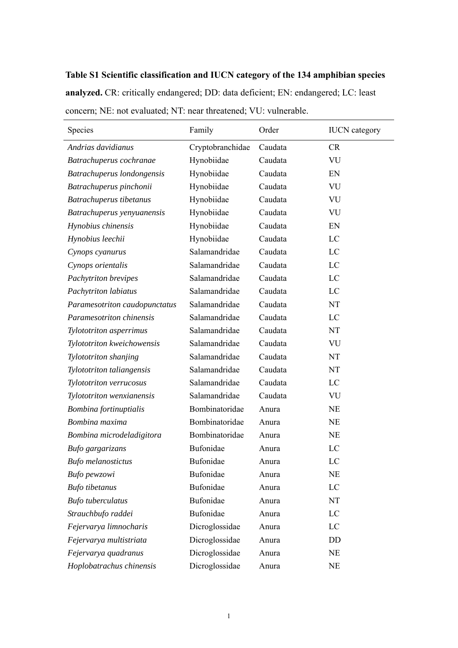## **Table S1 Scientific classification and IUCN category of the 134 amphibian species**

**analyzed.** CR: critically endangered; DD: data deficient; EN: endangered; LC: least concern; NE: not evaluated; NT: near threatened; VU: vulnerable.

| Species                       | Family           | Order   | <b>IUCN</b> category |
|-------------------------------|------------------|---------|----------------------|
| Andrias davidianus            | Cryptobranchidae | Caudata | <b>CR</b>            |
| Batrachuperus cochranae       | Hynobiidae       | Caudata | VU                   |
| Batrachuperus londongensis    | Hynobiidae       | Caudata | EN                   |
| Batrachuperus pinchonii       | Hynobiidae       | Caudata | VU                   |
| Batrachuperus tibetanus       | Hynobiidae       | Caudata | VU                   |
| Batrachuperus yenyuanensis    | Hynobiidae       | Caudata | VU                   |
| Hynobius chinensis            | Hynobiidae       | Caudata | EN                   |
| Hynobius leechii              | Hynobiidae       | Caudata | LC                   |
| Cynops cyanurus               | Salamandridae    | Caudata | LC                   |
| Cynops orientalis             | Salamandridae    | Caudata | LC                   |
| Pachytriton brevipes          | Salamandridae    | Caudata | LC                   |
| Pachytriton labiatus          | Salamandridae    | Caudata | LC                   |
| Paramesotriton caudopunctatus | Salamandridae    | Caudata | NT                   |
| Paramesotriton chinensis      | Salamandridae    | Caudata | LC                   |
| Tylototriton asperrimus       | Salamandridae    | Caudata | NT                   |
| Tylototriton kweichowensis    | Salamandridae    | Caudata | VU                   |
| Tylototriton shanjing         | Salamandridae    | Caudata | NT                   |
| Tylototriton taliangensis     | Salamandridae    | Caudata | NT                   |
| Tylototriton verrucosus       | Salamandridae    | Caudata | LC                   |
| Tylototriton wenxianensis     | Salamandridae    | Caudata | VU                   |
| Bombina fortinuptialis        | Bombinatoridae   | Anura   | <b>NE</b>            |
| Bombina maxima                | Bombinatoridae   | Anura   | <b>NE</b>            |
| Bombina microdeladigitora     | Bombinatoridae   | Anura   | <b>NE</b>            |
| Bufo gargarizans              | Bufonidae        | Anura   | LC                   |
| <b>Bufo</b> melanostictus     | Bufonidae        | Anura   | LC                   |
| Bufo pewzowi                  | Bufonidae        | Anura   | <b>NE</b>            |
| <b>Bufo</b> tibetanus         | Bufonidae        | Anura   | LC                   |
| <b>Bufo</b> tuberculatus      | Bufonidae        | Anura   | NT                   |
| Strauchbufo raddei            | Bufonidae        | Anura   | LC                   |
| Fejervarya limnocharis        | Dicroglossidae   | Anura   | LC                   |
| Fejervarya multistriata       | Dicroglossidae   | Anura   | DD                   |
| Fejervarya quadranus          | Dicroglossidae   | Anura   | <b>NE</b>            |
| Hoplobatrachus chinensis      | Dicroglossidae   | Anura   | NE                   |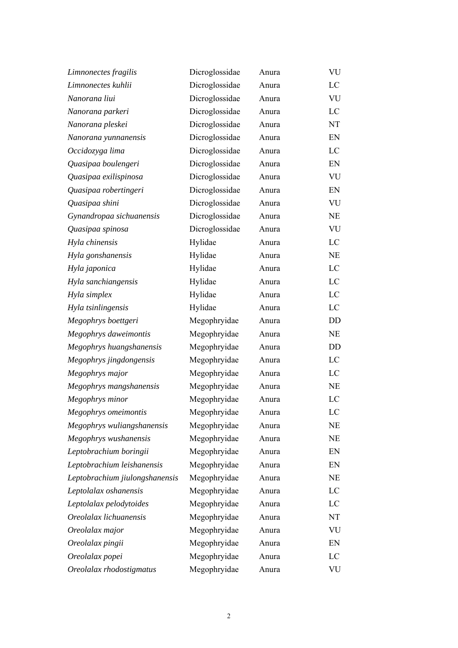| Limnonectes fragilis           | Dicroglossidae | Anura | VU                         |
|--------------------------------|----------------|-------|----------------------------|
| Limnonectes kuhlii             | Dicroglossidae | Anura | LC                         |
| Nanorana liui                  | Dicroglossidae | Anura | VU                         |
| Nanorana parkeri               | Dicroglossidae | Anura | LC                         |
| Nanorana pleskei               | Dicroglossidae | Anura | NT                         |
| Nanorana yunnanensis           | Dicroglossidae | Anura | EN                         |
| Occidozyga lima                | Dicroglossidae | Anura | LC                         |
| Quasipaa boulengeri            | Dicroglossidae | Anura | EN                         |
| Quasipaa exilispinosa          | Dicroglossidae | Anura | <b>VU</b>                  |
| Quasipaa robertingeri          | Dicroglossidae | Anura | $\mathop{\rm EN}\nolimits$ |
| Quasipaa shini                 | Dicroglossidae | Anura | VU                         |
| Gynandropaa sichuanensis       | Dicroglossidae | Anura | NE                         |
| Quasipaa spinosa               | Dicroglossidae | Anura | VU                         |
| Hyla chinensis                 | Hylidae        | Anura | LC                         |
| Hyla gonshanensis              | Hylidae        | Anura | NE                         |
| Hyla japonica                  | Hylidae        | Anura | LC                         |
| Hyla sanchiangensis            | Hylidae        | Anura | LC                         |
| Hyla simplex                   | Hylidae        | Anura | LC                         |
| Hyla tsinlingensis             | Hylidae        | Anura | LC                         |
| Megophrys boettgeri            | Megophryidae   | Anura | DD                         |
| Megophrys daweimontis          | Megophryidae   | Anura | NE                         |
| Megophrys huangshanensis       | Megophryidae   | Anura | DD                         |
| Megophrys jingdongensis        | Megophryidae   | Anura | LC                         |
| Megophrys major                | Megophryidae   | Anura | LC                         |
| Megophrys mangshanensis        | Megophryidae   | Anura | NE                         |
| Megophrys minor                | Megophryidae   | Anura | LC                         |
| Megophrys omeimontis           | Megophryidae   | Anura | LC                         |
| Megophrys wuliangshanensis     | Megophryidae   | Anura | <b>NE</b>                  |
| Megophrys wushanensis          | Megophryidae   | Anura | NE                         |
| Leptobrachium boringii         | Megophryidae   | Anura | EN                         |
| Leptobrachium leishanensis     | Megophryidae   | Anura | EN                         |
| Leptobrachium jiulongshanensis | Megophryidae   | Anura | NE                         |
| Leptolalax oshanensis          | Megophryidae   | Anura | LC                         |
| Leptolalax pelodytoides        | Megophryidae   | Anura | LC                         |
| Oreolalax lichuanensis         | Megophryidae   | Anura | NT                         |
| Oreolalax major                | Megophryidae   | Anura | VU                         |
| Oreolalax pingii               | Megophryidae   | Anura | EN                         |
| Oreolalax popei                | Megophryidae   | Anura | LC                         |
| Oreolalax rhodostigmatus       | Megophryidae   | Anura | VU                         |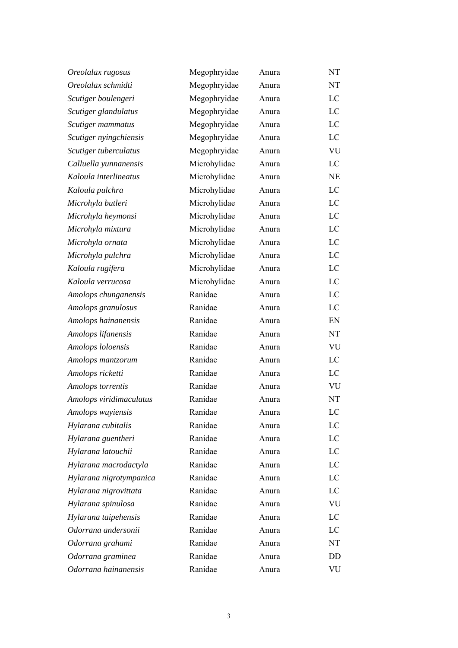| Oreolalax rugosus       | Megophryidae | Anura | NT |
|-------------------------|--------------|-------|----|
| Oreolalax schmidti      | Megophryidae | Anura | NT |
| Scutiger boulengeri     | Megophryidae | Anura | LC |
| Scutiger glandulatus    | Megophryidae | Anura | LC |
| Scutiger mammatus       | Megophryidae | Anura | LC |
| Scutiger nyingchiensis  | Megophryidae | Anura | LC |
| Scutiger tuberculatus   | Megophryidae | Anura | VU |
| Calluella yunnanensis   | Microhylidae | Anura | LC |
| Kaloula interlineatus   | Microhylidae | Anura | NE |
| Kaloula pulchra         | Microhylidae | Anura | LC |
| Microhyla butleri       | Microhylidae | Anura | LC |
| Microhyla heymonsi      | Microhylidae | Anura | LC |
| Microhyla mixtura       | Microhylidae | Anura | LC |
| Microhyla ornata        | Microhylidae | Anura | LC |
| Microhyla pulchra       | Microhylidae | Anura | LC |
| Kaloula rugifera        | Microhylidae | Anura | LC |
| Kaloula verrucosa       | Microhylidae | Anura | LC |
| Amolops chunganensis    | Ranidae      | Anura | LC |
| Amolops granulosus      | Ranidae      | Anura | LC |
| Amolops hainanensis     | Ranidae      | Anura | EN |
| Amolops lifanensis      | Ranidae      | Anura | NT |
| Amolops loloensis       | Ranidae      | Anura | VU |
| Amolops mantzorum       | Ranidae      | Anura | LC |
| Amolops ricketti        | Ranidae      | Anura | LC |
| Amolops torrentis       | Ranidae      | Anura | VU |
| Amolops viridimaculatus | Ranidae      | Anura | NT |
| Amolops wuyiensis       | Ranidae      | Anura | LC |
| Hylarana cubitalis      | Ranidae      | Anura | LC |
| Hylarana guentheri      | Ranidae      | Anura | LC |
| Hylarana latouchii      | Ranidae      | Anura | LC |
| Hylarana macrodactyla   | Ranidae      | Anura | LC |
| Hylarana nigrotympanica | Ranidae      | Anura | LC |
| Hylarana nigrovittata   | Ranidae      | Anura | LC |
| Hylarana spinulosa      | Ranidae      | Anura | VU |
| Hylarana taipehensis    | Ranidae      | Anura | LC |
| Odorrana andersonii     | Ranidae      | Anura | LC |
| Odorrana grahami        | Ranidae      | Anura | NT |
| Odorrana graminea       | Ranidae      | Anura | DD |
| Odorrana hainanensis    | Ranidae      | Anura | VU |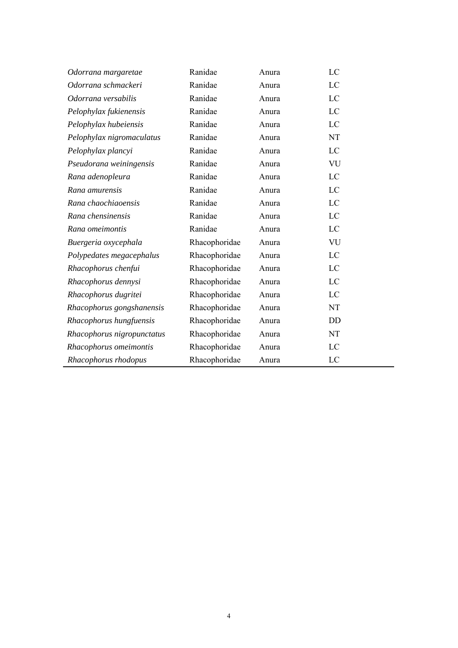| Odorrana margaretae        | Ranidae       | Anura | LC        |
|----------------------------|---------------|-------|-----------|
| Odorrana schmackeri        | Ranidae       | Anura | LC        |
| Odorrana versabilis        | Ranidae       | Anura | LC        |
| Pelophylax fukienensis     | Ranidae       | Anura | LC        |
| Pelophylax hubeiensis      | Ranidae       | Anura | LC        |
| Pelophylax nigromaculatus  | Ranidae       | Anura | <b>NT</b> |
| Pelophylax plancyi         | Ranidae       | Anura | LC        |
| Pseudorana weiningensis    | Ranidae       | Anura | VU        |
| Rana adenopleura           | Ranidae       | Anura | LC        |
| Rana amurensis             | Ranidae       | Anura | LC        |
| Rana chaochiaoensis        | Ranidae       | Anura | LC        |
| Rana chensinensis          | Ranidae       | Anura | LC        |
| Rana omeimontis            | Ranidae       | Anura | LC        |
| Buergeria oxycephala       | Rhacophoridae | Anura | VU        |
| Polypedates megacephalus   | Rhacophoridae | Anura | LC        |
| Rhacophorus chenfui        | Rhacophoridae | Anura | LC        |
| Rhacophorus dennysi        | Rhacophoridae | Anura | LC        |
| Rhacophorus dugritei       | Rhacophoridae | Anura | LC        |
| Rhacophorus gongshanensis  | Rhacophoridae | Anura | <b>NT</b> |
| Rhacophorus hungfuensis    | Rhacophoridae | Anura | DD        |
| Rhacophorus nigropunctatus | Rhacophoridae | Anura | <b>NT</b> |
| Rhacophorus omeimontis     | Rhacophoridae | Anura | LC        |
| Rhacophorus rhodopus       | Rhacophoridae | Anura | LC        |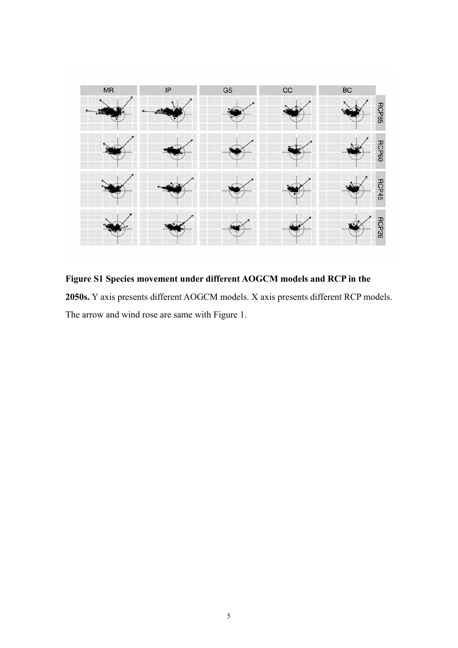

**Figure S1 Species movement under different AOGCM models and RCP in the 2050s.** Y axis presents different AOGCM models. X axis presents different RCP models. The arrow and wind rose are same with Figure 1.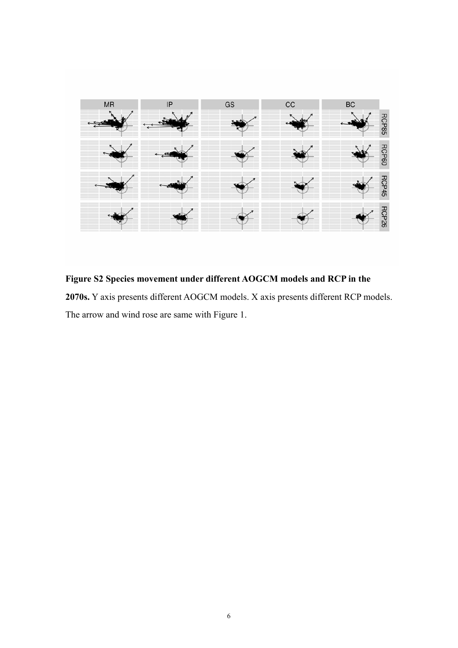

**Figure S2 Species movement under different AOGCM models and RCP in the 2070s.** Y axis presents different AOGCM models. X axis presents different RCP models. The arrow and wind rose are same with Figure 1.